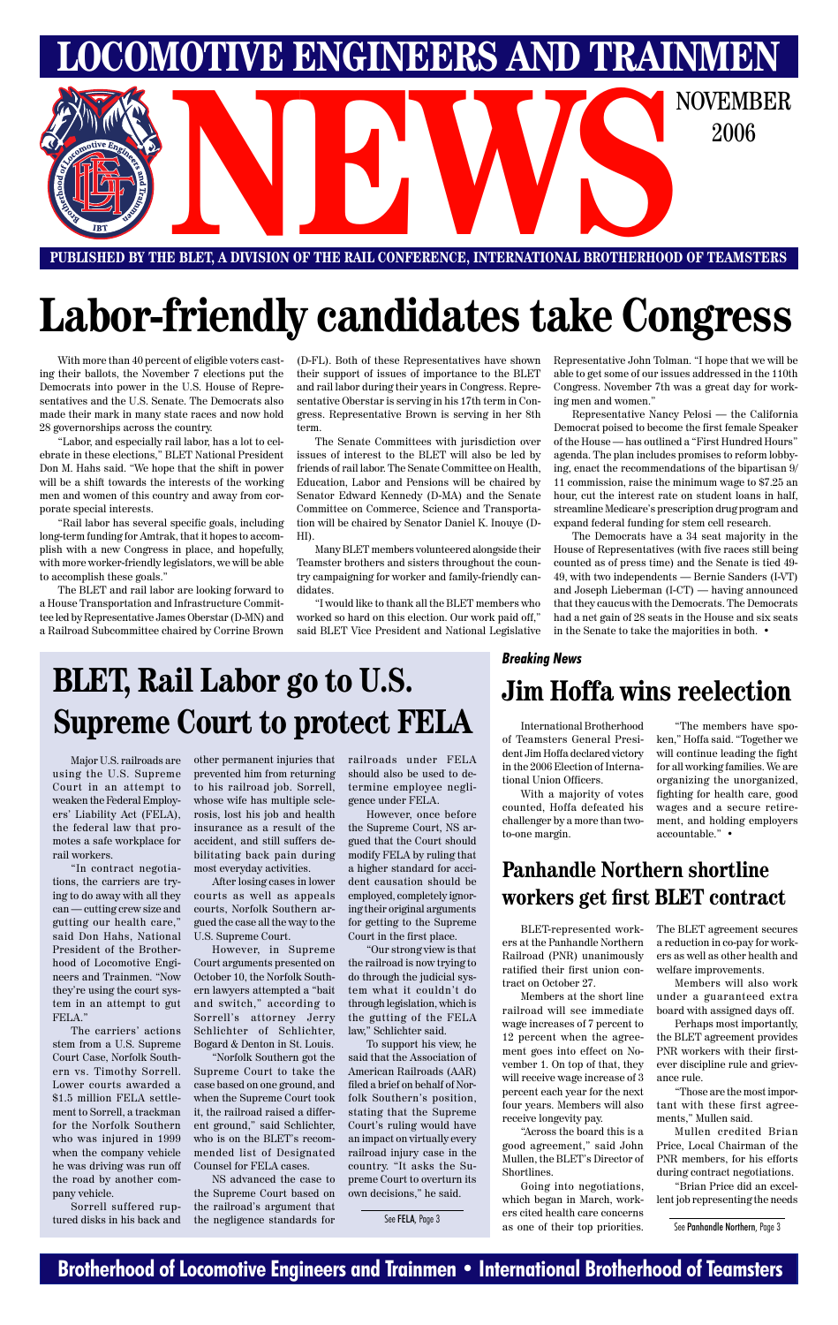## **Brotherhood of Locomotive Engineers and Trainmen • International Brotherhood of Teamsters**



# **Labor-friendly candidates take Congress**

With more than 40 percent of eligible voters casting their ballots, the November 7 elections put the Democrats into power in the U.S. House of Representatives and the U.S. Senate. The Democrats also made their mark in many state races and now hold 28 governorships across the country.

"Labor, and especially rail labor, has a lot to celebrate in these elections," BLET National President Don M. Hahs said. "We hope that the shift in power will be a shift towards the interests of the working men and women of this country and away from corporate special interests.

"Rail labor has several specific goals, including long-term funding for Amtrak, that it hopes to accomplish with a new Congress in place, and hopefully, with more worker-friendly legislators, we will be able to accomplish these goals."

The BLET and rail labor are looking forward to a House Transportation and Infrastructure Committee led by Representative James Oberstar (D-MN) and a Railroad Subcommittee chaired by Corrine Brown

(D-FL). Both of these Representatives have shown their support of issues of importance to the BLET and rail labor during their years in Congress. Representative Oberstar is serving in his 17th term in Congress. Representative Brown is serving in her 8th term.

The Senate Committees with jurisdiction over issues of interest to the BLET will also be led by friends of rail labor. The Senate Committee on Health, Education, Labor and Pensions will be chaired by Senator Edward Kennedy (D-MA) and the Senate Committee on Commerce, Science and Transportation will be chaired by Senator Daniel K. Inouye (D-HI).

> Going into negotiations, which began in March, workers cited health care concerns See FELA, Page 3 See Panhandle Northern, Page 3 See Panhandle Northern, Page 3

Many BLET members volunteered alongside their Teamster brothers and sisters throughout the country campaigning for worker and family-friendly candidates.␣

"I would like to thank all the BLET members who worked so hard on this election. Our work paid off," said BLET Vice President and National Legislative

Representative John Tolman. "I hope that we will be able to get some of our issues addressed in the 110th Congress. November 7th was a great day for working men and women."

Representative Nancy Pelosi — the California Democrat poised to become the first female Speaker of the House — has outlined a "First Hundred Hours" agenda. The plan includes promises to reform lobbying, enact the recommendations of the bipartisan 9/ 11 commission, raise the minimum wage to \$7.25 an hour, cut the interest rate on student loans in half, streamline Medicare's prescription drug program and expand federal funding for stem cell research.

The Democrats have a 34 seat majority in the House of Representatives (with five races still being counted as of press time) and the Senate is tied 49- 49, with two independents — Bernie Sanders (I-VT) and Joseph Lieberman (I-CT) — having announced that they caucus with the Democrats. The Democrats had a net gain of 28 seats in the House and six seats in the Senate to take the majorities in both. •

tract on October 27.

Members at the short line railroad will see immediate wage increases of 7 percent to 12 percent when the agreement goes into effect on November 1. On top of that, they will receive wage increase of 3 percent each year for the next four years. Members will also receive longevity pay.

BLET-represented work-The BLET agreement secures

ers at the Panhandle Northern a reduction in co-pay for work-Railroad (PNR) unanimously ers as well as other health and ratified their first union con-welfare improvements.

"Across the board this is a good agreement," said John Mullen, the BLET's Director of Shortlines.

Members will also work under a guaranteed extra board with assigned days off.

Perhaps most importantly, the BLET agreement provides PNR workers with their firstever discipline rule and grievance rule.

"Those are the most important with these first agreements," Mullen said.

Mullen credited Brian Price, Local Chairman of the PNR members, for his efforts during contract negotiations.

"Brian Price did an excellent job representing the needs

# **Panhandle Northern shortline workers get first BLET contract**

# **BLET, Rail Labor go to U.S. Supreme Court to protect FELA**

Major U.S. railroads are using the U.S. Supreme Court in an attempt to weaken the Federal Employers' Liability Act (FELA), the federal law that promotes a safe workplace for rail workers.

"In contract negotiations, the carriers are trying to do away with all they can — cutting crew size and gutting our health care," said Don Hahs, National President of the Brotherhood of Locomotive Engineers and Trainmen. "Now they're using the court system in an attempt to gut FELA." The carriers' actions stem from a U.S. Supreme Court Case, Norfolk Southern vs. Timothy Sorrell. Lower courts awarded a \$1.5 million FELA settlement to Sorrell, a trackman for the Norfolk Southern who was injured in 1999 when the company vehicle he was driving was run off the road by another company vehicle.

Sorrell suffered ruptured disks in his back and other permanent injuries that prevented him from returning to his railroad job. Sorrell, whose wife has multiple sclerosis, lost his job and health insurance as a result of the accident, and still suffers debilitating back pain during most everyday activities.

After losing cases in lower courts as well as appeals courts, Norfolk Southern argued the case all the way to the U.S. Supreme Court.

However, in Supreme Court arguments presented on October 10, the Norfolk Southern lawyers attempted a "bait and switch," according to Sorrell's attorney Jerry Schlichter of Schlichter, Bogard & Denton in St. Louis.

"Norfolk Southern got the Supreme Court to take the case based on one ground, and when the Supreme Court took it, the railroad raised a different ground," said Schlichter, who is on the BLET's recommended list of Designated Counsel for FELA cases.

NS advanced the case to the Supreme Court based on the railroad's argument that the negligence standards for

railroads under FELA should also be used to determine employee negligence under FELA.

However, once before the Supreme Court, NS argued that the Court should modify FELA by ruling that a higher standard for accident causation should be employed, completely ignoring their original arguments for getting to the Supreme Court in the first place.

"Our strong view is that the railroad is now trying to do through the judicial system what it couldn't do through legislation, which is the gutting of the FELA law," Schlichter said. To support his view, he said that the Association of American Railroads (AAR) filed a brief on behalf of Norfolk Southern's position, stating that the Supreme Court's ruling would have an impact on virtually every railroad injury case in the country. "It asks the Supreme Court to overturn its own decisions," he said.

## **Jim Hoffa wins reelection**

### *Breaking News*

International Brotherhood of Teamsters General President Jim Hoffa declared victory in the 2006 Election of International Union Officers.

With a majority of votes counted, Hoffa defeated his challenger by a more than twoto-one margin.

"The members have spoken," Hoffa said. "Together we will continue leading the fight for all working families. We are organizing the unorganized, fighting for health care, good wages and a secure retirement, and holding employers accountable." •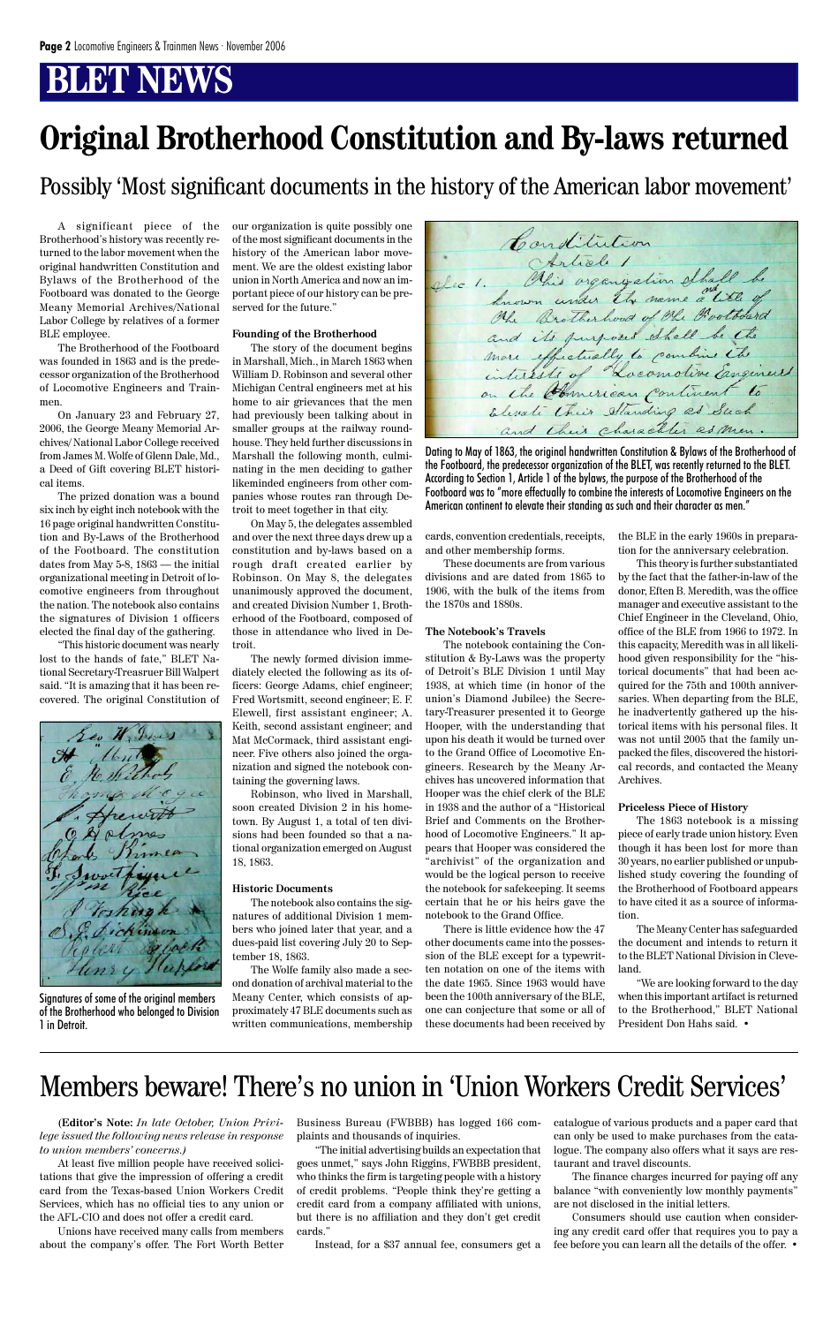# **BLET NEWS**

A significant piece of the Brotherhood's history was recently returned to the labor movement when the original handwritten Constitution and Bylaws of the Brotherhood of the Footboard was donated to the George Meany Memorial Archives/National Labor College by relatives of a former BLE employee.

The Brotherhood of the Footboard was founded in 1863 and is the predecessor organization of the Brotherhood of Locomotive Engineers and Trainmen.

On January 23 and February 27, 2006, the George Meany Memorial Archives/ National Labor College received from James M. Wolfe of Glenn Dale, Md., a Deed of Gift covering BLET historical items.

The prized donation was a bound six inch by eight inch notebook with the 16 page original handwritten Constitution and By-Laws of the Brotherhood of the Footboard. The constitution dates from May 5-8, 1863 — the initial organizational meeting in Detroit of locomotive engineers from throughout the nation. The notebook also contains the signatures of Division 1 officers elected the final day of the gathering.

"This historic document was nearly lost to the hands of fate," BLET National Secretary-Treasruer Bill Walpert said. "It is amazing that it has been recovered. The original Constitution of

Seo W. June ickinson olert & bol nsy Happy

our organization is quite possibly one of the most significant documents in the history of the American labor movement. We are the oldest existing labor union in North America and now an important piece of our history can be preserved for the future."

#### **Founding of the Brotherhood**

The story of the document begins in Marshall, Mich., in March 1863 when William D. Robinson and several other Michigan Central engineers met at his home to air grievances that the men had previously been talking about in smaller groups at the railway roundhouse. They held further discussions in Marshall the following month, culminating in the men deciding to gather likeminded engineers from other companies whose routes ran through Detroit to meet together in that city.

On May 5, the delegates assembled and over the next three days drew up a constitution and by-laws based on a rough draft created earlier by Robinson. On May 8, the delegates unanimously approved the document, and created Division Number 1, Brotherhood of the Footboard, composed of those in attendance who lived in Detroit.

The newly formed division immediately elected the following as its officers: George Adams, chief engineer; Fred Wortsmitt, second engineer; E. F. Elewell, first assistant engineer; A. Keith, second assistant engineer; and Mat McCormack, third assistant engineer. Five others also joined the organization and signed the notebook containing the governing laws.

Robinson, who lived in Marshall, soon created Division 2 in his hometown. By August 1, a total of ten divisions had been founded so that a national organization emerged on August 18, 1863.

#### **Historic Documents**

The notebook also contains the signatures of additional Division 1 members who joined later that year, and a dues-paid list covering July 20 to September 18, 1863.

The Wolfe family also made a second donation of archival material to the Meany Center, which consists of approximately 47 BLE documents such as written communications, membership

Constitution Ohr Brotherhood of the Protoberd and its purposes thall be the Elevate their Standing as Such and their character as men.

cards, convention credentials, receipts, and other membership forms.

These documents are from various divisions and are dated from 1865 to 1906, with the bulk of the items from the 1870s and 1880s.

#### **The Notebook's Travels**

The notebook containing the Constitution & By-Laws was the property of Detroit's BLE Division 1 until May 1938, at which time (in honor of the union's Diamond Jubilee) the Secretary-Treasurer presented it to George Hooper, with the understanding that upon his death it would be turned over to the Grand Office of Locomotive Engineers. Research by the Meany Archives has uncovered information that Hooper was the chief clerk of the BLE in 1938 and the author of a "Historical Brief and Comments on the Brotherhood of Locomotive Engineers." It appears that Hooper was considered the "archivist" of the organization and would be the logical person to receive the notebook for safekeeping. It seems certain that he or his heirs gave the notebook to the Grand Office.

There is little evidence how the 47 other documents came into the possession of the BLE except for a typewritten notation on one of the items with the date 1965. Since 1963 would have been the 100th anniversary of the BLE, one can conjecture that some or all of these documents had been received by

the BLE in the early 1960s in preparation for the anniversary celebration.

This theory is further substantiated by the fact that the father-in-law of the donor, Eften B. Meredith, was the office manager and executive assistant to the Chief Engineer in the Cleveland, Ohio, office of the BLE from 1966 to 1972. In this capacity, Meredith was in all likelihood given responsibility for the "historical documents" that had been acquired for the 75th and 100th anniversaries. When departing from the BLE, he inadvertently gathered up the historical items with his personal files. It was not until 2005 that the family unpacked the files, discovered the historical records, and contacted the Meany Archives.

#### **Priceless Piece of History**

The 1863 notebook is a missing piece of early trade union history. Even though it has been lost for more than 30 years, no earlier published or unpublished study covering the founding of the Brotherhood of Footboard appears to have cited it as a source of information.

The Meany Center has safeguarded the document and intends to return it to the BLET National Division in Cleveland.



"We are looking forward to the day when this important artifact is returned to the Brotherhood," BLET National President Don Hahs said. •

# **Original Brotherhood Constitution and By-laws returned**

Dating to May of 1863, the original handwritten Constitution & Bylaws of the Brotherhood of the Footboard, the predecessor organization of the BLET, was recently returned to the BLET. According to Section 1, Article 1 of the bylaws, the purpose of the Brotherhood of the Footboard was to "more effectually to combine the interests of Locomotive Engineers on the American continent to elevate their standing as such and their character as men."

Signatures of some of the original members of the Brotherhood who belonged to Division 1 in Detroit.

Possibly 'Most significant documents in the history of the American labor movement'

(**Editor's Note:** *In late October, Union Privilege issued the following news release in response to union members' concerns.)*

At least five million people have received solicitations that give the impression of offering a credit card from the Texas-based Union Workers Credit Services, which has no official ties to any union or the AFL-CIO and does not offer a credit card.

Unions have received many calls from members about the company's offer. The Fort Worth Better Business Bureau (FWBBB) has logged 166 complaints and thousands of inquiries.

"The initial advertising builds an expectation that goes unmet," says John Riggins, FWBBB president, who thinks the firm is targeting people with a history of credit problems. "People think they're getting a credit card from a company affiliated with unions, but there is no affiliation and they don't get credit cards."

Instead, for a \$37 annual fee, consumers get a

catalogue of various products and a paper card that can only be used to make purchases from the catalogue. The company also offers what it says are restaurant and travel discounts.

The finance charges incurred for paying off any balance "with conveniently low monthly payments" are not disclosed in the initial letters.

Consumers should use caution when considering any credit card offer that requires you to pay a fee before you can learn all the details of the offer. •

## Members beware! There's no union in 'Union Workers Credit Services'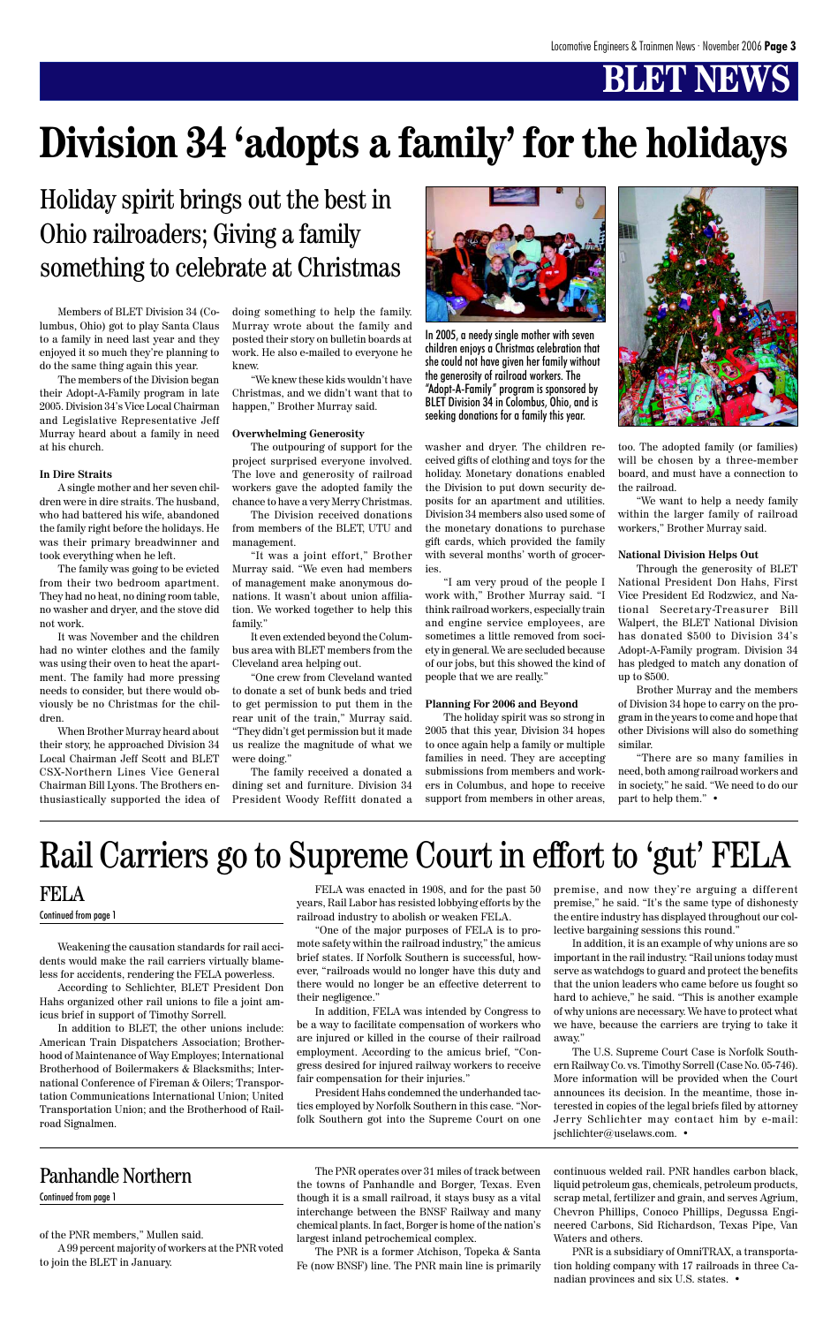# **BLET NEWS**

Members of BLET Division 34 (Columbus, Ohio) got to play Santa Claus to a family in need last year and they enjoyed it so much they're planning to do the same thing again this year.

The members of the Division began their Adopt-A-Family program in late 2005. Division 34's Vice Local Chairman and Legislative Representative Jeff Murray heard about a family in need at his church.

#### **In Dire Straits**

A single mother and her seven children were in dire straits. The husband, who had battered his wife, abandoned the family right before the holidays. He was their primary breadwinner and took everything when he left.

The family was going to be evicted from their two bedroom apartment. They had no heat, no dining room table, no washer and dryer, and the stove did not work.

It was November and the children had no winter clothes and the family was using their oven to heat the apartment. The family had more pressing needs to consider, but there would obviously be no Christmas for the children.

When Brother Murray heard about their story, he approached Division 34 Local Chairman Jeff Scott and BLET CSX-Northern Lines Vice General Chairman Bill Lyons. The Brothers enthusiastically supported the idea of doing something to help the family. Murray wrote about the family and posted their story on bulletin boards at work. He also e-mailed to everyone he knew.

"We knew these kids wouldn't have Christmas, and we didn't want that to happen," Brother Murray said.

#### **Overwhelming Generosity**

The outpouring of support for the project surprised everyone involved. The love and generosity of railroad workers gave the adopted family the chance to have a very Merry Christmas.

The Division received donations from members of the BLET, UTU and management.

"It was a joint effort," Brother Murray said. "We even had members of management make anonymous donations. It wasn't about union affiliation. We worked together to help this family."

It even extended beyond the Columbus area with BLET members from the Cleveland area helping out.

"One crew from Cleveland wanted to donate a set of bunk beds and tried to get permission to put them in the rear unit of the train," Murray said. "They didn't get permission but it made us realize the magnitude of what we were doing."

The family received a donated a dining set and furniture. Division 34 President Woody Reffitt donated a

# **Division 34 'adopts a family' for the holidays**

washer and dryer. The children received gifts of clothing and toys for the holiday. Monetary donations enabled the Division to put down security deposits for an apartment and utilities. Division 34 members also used some of the monetary donations to purchase gift cards, which provided the family with several months' worth of groceries.

"I am very proud of the people I work with," Brother Murray said. "I think railroad workers, especially train and engine service employees, are sometimes a little removed from society in general. We are secluded because of our jobs, but this showed the kind of people that we are really."

### **Planning For 2006 and Beyond**

The holiday spirit was so strong in 2005 that this year, Division 34 hopes to once again help a family or multiple families in need. They are accepting submissions from members and workers in Columbus, and hope to receive support from members in other areas,



too. The adopted family (or families) will be chosen by a three-member board, and must have a connection to the railroad.

"We want to help a needy family within the larger family of railroad workers," Brother Murray said.

#### **National Division Helps Out**

Through the generosity of BLET National President Don Hahs, First Vice President Ed Rodzwicz, and National Secretary-Treasurer Bill Walpert, the BLET National Division has donated \$500 to Division 34's Adopt-A-Family program. Division 34 has pledged to match any donation of up to \$500.

Brother Murray and the members of Division 34 hope to carry on the program in the years to come and hope that other Divisions will also do something similar.

"There are so many families in need, both among railroad workers and in society," he said. "We need to do our part to help them." •

## Holiday spirit brings out the best in Ohio railroaders; Giving a family something to celebrate at Christmas



In 2005, a needy single mother with seven children enjoys a Christmas celebration that she could not have given her family without the generosity of railroad workers. The "Adopt-A-Family" program is sponsored by BLET Division 34 in Colombus, Ohio, and is seeking donations for a family this year.

Weakening the causation standards for rail accidents would make the rail carriers virtually blame-

less for accidents, rendering the FELA powerless.

According to Schlichter, BLET President Don Hahs organized other rail unions to file a joint amicus brief in support of Timothy Sorrell.

In addition to BLET, the other unions include: American Train Dispatchers Association; Brotherhood of Maintenance of Way Employes; International Brotherhood of Boilermakers & Blacksmiths; International Conference of Fireman & Oilers; Transportation Communications International Union; United Transportation Union; and the Brotherhood of Railroad Signalmen.

FELA was enacted in 1908, and for the past 50 years, Rail Labor has resisted lobbying efforts by the railroad industry to abolish or weaken FELA.

"One of the major purposes of FELA is to promote safety within the railroad industry," the amicus brief states. If Norfolk Southern is successful, however, "railroads would no longer have this duty and there would no longer be an effective deterrent to their negligence." In addition, FELA was intended by Congress to be a way to facilitate compensation of workers who are injured or killed in the course of their railroad employment. According to the amicus brief, "Congress desired for injured railway workers to receive fair compensation for their injuries." President Hahs condemned the underhanded tactics employed by Norfolk Southern in this case. "Norfolk Southern got into the Supreme Court on one premise, and now they're arguing a different premise," he said. "It's the same type of dishonesty the entire industry has displayed throughout our collective bargaining sessions this round."

In addition, it is an example of why unions are so important in the rail industry. "Rail unions today must serve as watchdogs to guard and protect the benefits that the union leaders who came before us fought so hard to achieve," he said. "This is another example of why unions are necessary. We have to protect what we have, because the carriers are trying to take it away." The U.S. Supreme Court Case is Norfolk Southern Railway Co. vs. Timothy Sorrell (Case No. 05-746). More information will be provided when the Court announces its decision. In the meantime, those interested in copies of the legal briefs filed by attorney Jerry Schlichter may contact him by e-mail: jschlichter@uselaws.com. •

## FELA Continued from page 1

# Rail Carriers go to Supreme Court in effort to 'gut' FELA

of the PNR members," Mullen said.

A 99 percent majority of workers at the PNR voted to join the BLET in January.

The PNR operates over 31 miles of track between the towns of Panhandle and Borger, Texas. Even though it is a small railroad, it stays busy as a vital interchange between the BNSF Railway and many chemical plants. In fact, Borger is home of the nation's largest inland petrochemical complex.

The PNR is a former Atchison, Topeka & Santa Fe (now BNSF) line. The PNR main line is primarily continuous welded rail. PNR handles carbon black, liquid petroleum gas, chemicals, petroleum products, scrap metal, fertilizer and grain, and serves Agrium, Chevron Phillips, Conoco Phillips, Degussa Engineered Carbons, Sid Richardson, Texas Pipe, Van Waters and others.

PNR is a subsidiary of OmniTRAX, a transportation holding company with 17 railroads in three Canadian provinces and six U.S. states. •

## Panhandle Northern

### Continued from page 1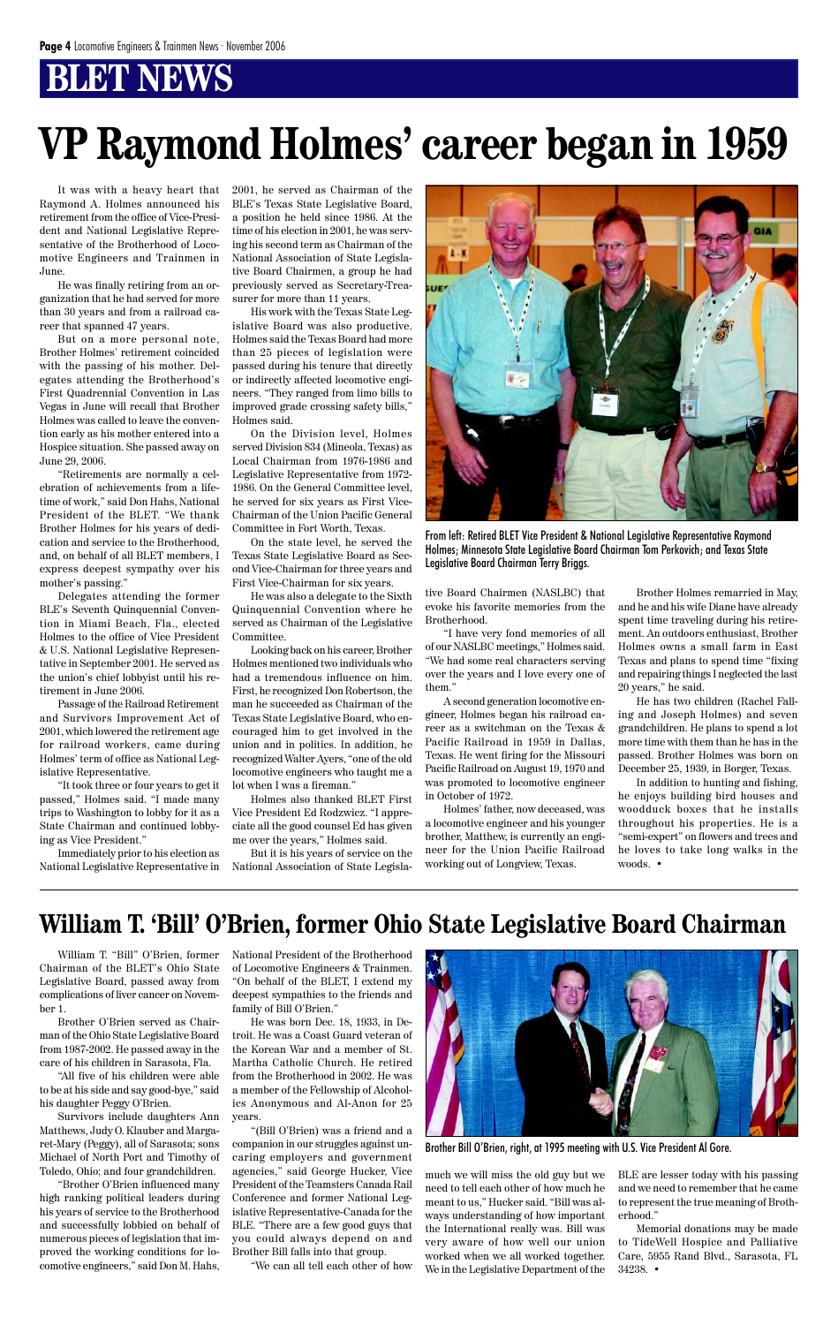## **BT NEWS**

It was with a heavy heart that Raymond A. Holmes announced his retirement from the office of Vice-President and National Legislative Representative of the Brotherhood of Locomotive Engineers and Trainmen in June.

He was finally retiring from an organization that he had served for more than 30 years and from a railroad career that spanned 47 years.

But on a more personal note, Brother Holmes' retirement coincided with the passing of his mother. Delegates attending the Brotherhood's First Quadrennial Convention in Las Vegas in June will recall that Brother Holmes was called to leave the convention early as his mother entered into a Hospice situation. She passed away on June 29, 2006.

"Retirements are normally a celebration of achievements from a lifetime of work," said Don Hahs, National President of the BLET. "We thank Brother Holmes for his years of dedication and service to the Brotherhood, and, on behalf of all BLET members, I express deepest sympathy over his mother's passing."

Delegates attending the former BLE's Seventh Quinquennial Convention in Miami Beach, Fla., elected Holmes to the office of Vice President & U.S. National Legislative Representative in September 2001. He served as the union's chief lobbyist until his retirement in June 2006.

Passage of the Railroad Retirement and Survivors Improvement Act of 2001, which lowered the retirement age for railroad workers, came during Holmes' term of office as National Legislative Representative.

"It took three or four years to get it passed," Holmes said. "I made many trips to Washington to lobby for it as a State Chairman and continued lobbying as Vice President."

Immediately prior to his election as National Legislative Representative in 2001, he served as Chairman of the BLE's Texas State Legislative Board, a position he held since 1986. At the time of his election in 2001, he was serving his second term as Chairman of the National Association of State Legislative Board Chairmen, a group he had previously served as Secretary-Treasurer for more than 11 years.

His work with the Texas State Legislative Board was also productive. Holmes said the Texas Board had more than 25 pieces of legislation were passed during his tenure that directly or indirectly affected locomotive engineers. "They ranged from limo bills to improved grade crossing safety bills," Holmes said.

On the Division level, Holmes served Division 834 (Mineola, Texas) as Local Chairman from 1976-1986 and Legislative Representative from 1972- 1986. On the General Committee level, he served for six years as First Vice-Chairman of the Union Pacific General Committee in Fort Worth, Texas.

On the state level, he served the Texas State Legislative Board as Second Vice-Chairman for three years and First Vice-Chairman for six years.

He was also a delegate to the Sixth Quinquennial Convention where he served as Chairman of the Legislative Committee.

Looking back on his career, Brother Holmes mentioned two individuals who had a tremendous influence on him. First, he recognized Don Robertson, the man he succeeded as Chairman of the Texas State Legislative Board, who encouraged him to get involved in the union and in politics. In addition, he recognized Walter Ayers, "one of the old locomotive engineers who taught me a lot when I was a fireman."

Holmes also thanked BLET First Vice President Ed Rodzwicz. "I appreciate all the good counsel Ed has given me over the years," Holmes said.

But it is his years of service on the National Association of State Legislative Board Chairmen (NASLBC) that evoke his favorite memories from the Brotherhood.

"I have very fond memories of all of our NASLBC meetings," Holmes said. "We had some real characters serving over the years and I love every one of them."

A second generation locomotive engineer, Holmes began his railroad career as a switchman on the Texas & Pacific Railroad in 1959 in Dallas, Texas. He went firing for the Missouri Pacific Railroad on August 19, 1970 and was promoted to locomotive engineer in October of 1972.

Holmes' father, now deceased, was a locomotive engineer and his younger brother, Matthew, is currently an engineer for the Union Pacific Railroad working out of Longview, Texas.

# **VP Raymond Holmes' career began in 1959**

## **William T. 'Bill' O'Brien, former Ohio State Legislative Board Chairman**

Brother Holmes remarried in May, and he and his wife Diane have already spent time traveling during his retirement. An outdoors enthusiast, Brother Holmes owns a small farm in East Texas and plans to spend time "fixing and repairing things I neglected the last 20 years," he said.

He has two children (Rachel Falling and Joseph Holmes) and seven grandchildren. He plans to spend a lot more time with them than he has in the passed. Brother Holmes was born on December 25, 1939, in Borger, Texas.

In addition to hunting and fishing, he enjoys building bird houses and woodduck boxes that he installs throughout his properties. He is a "semi-expert" on flowers and trees and he loves to take long walks in the woods. •



From left: Retired BLET Vice President & National Legislative Representative Raymond Holmes; Minnesota State Legislative Board Chairman Tom Perkovich; and Texas State Legislative Board Chairman Terry Briggs.

Chairman of the BLET's Ohio State

Legislative Board, passed away from complications of liver cancer on November 1.

Brother O'Brien served as Chairman of the Ohio State Legislative Board from 1987-2002. He passed away in the care of his children in Sarasota, Fla.

"All five of his children were able to be at his side and say good-bye," said his daughter Peggy O'Brien.

William T. "Bill" O'Brien, former National President of the Brotherhood of Locomotive Engineers & Trainmen.



Survivors include daughters Ann Matthews, Judy O. Klauber and Margaret-Mary (Peggy), all of Sarasota; sons Michael of North Port and Timothy of Toledo, Ohio; and four grandchildren.

"Brother O'Brien influenced many high ranking political leaders during his years of service to the Brotherhood and successfully lobbied on behalf of numerous pieces of legislation that improved the working conditions for locomotive engineers," said Don M. Hahs,

"On behalf of the BLET, I extend my deepest sympathies to the friends and family of Bill O'Brien."

He was born Dec. 18, 1933, in Detroit. He was a Coast Guard veteran of the Korean War and a member of St. Martha Catholic Church. He retired from the Brotherhood in 2002. He was a member of the Fellowship of Alcoholics Anonymous and Al-Anon for 25 years.

"(Bill O'Brien) was a friend and a companion in our struggles against uncaring employers and government agencies," said George Hucker, Vice President of the Teamsters Canada Rail Conference and former National Legislative Representative-Canada for the BLE. "There are a few good guys that you could always depend on and Brother Bill falls into that group.

"We can all tell each other of how

much we will miss the old guy but we need to tell each other of how much he meant to us," Hucker said. "Bill was always understanding of how important the International really was. Bill was very aware of how well our union worked when we all worked together. We in the Legislative Department of the

BLE are lesser today with his passing and we need to remember that he came to represent the true meaning of Brotherhood."

Memorial donations may be made to TideWell Hospice and Palliative Care, 5955 Rand Blvd., Sarasota, FL 34238. •

Brother Bill O'Brien, right, at 1995 meeting with U.S. Vice President Al Gore.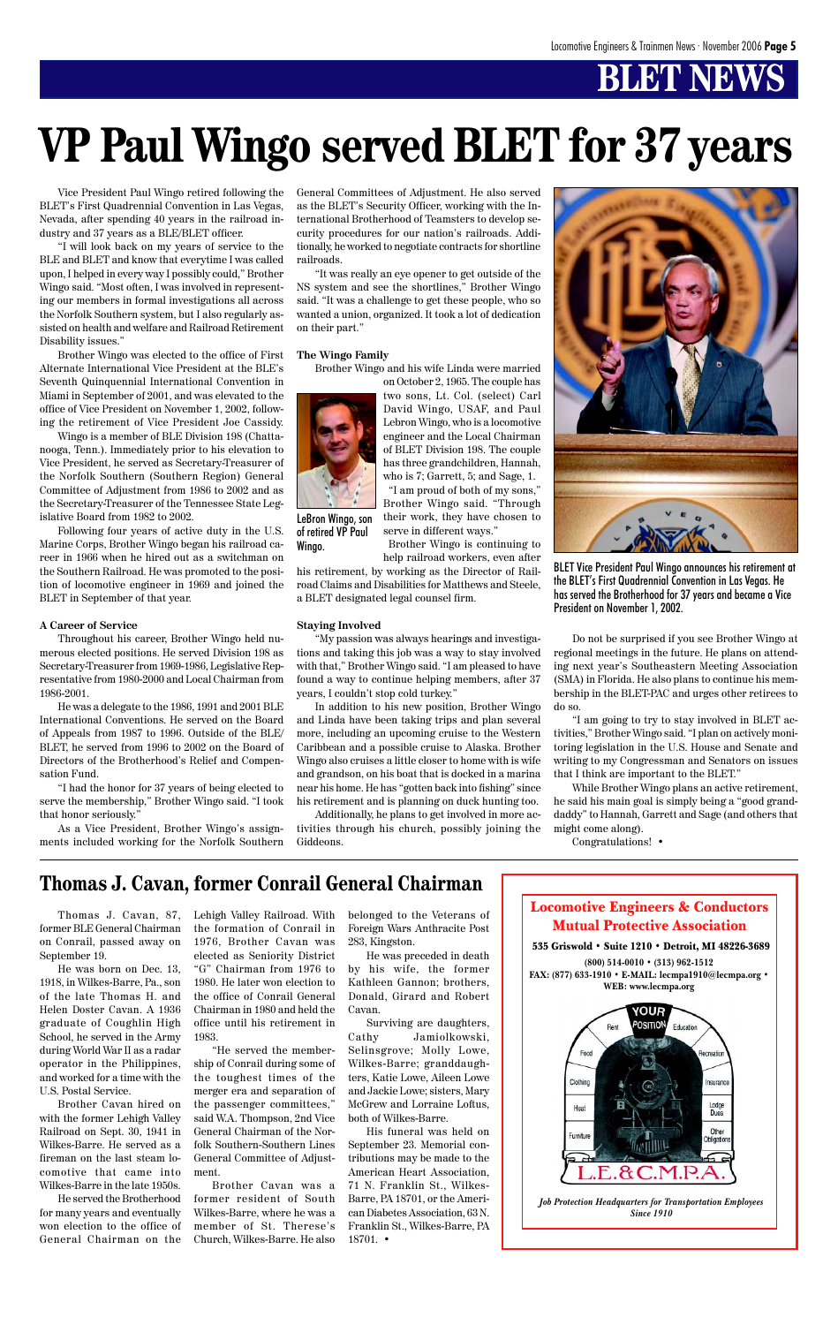# **BLET NEWS**

Vice President Paul Wingo retired following the BLET's First Quadrennial Convention in Las Vegas, Nevada, after spending 40 years in the railroad industry and 37 years as a BLE/BLET officer.

"I will look back on my years of service to the BLE and BLET and know that everytime I was called upon, I helped in every way I possibly could," Brother Wingo said. "Most often, I was involved in representing our members in formal investigations all across the Norfolk Southern system, but I also regularly assisted on health and welfare and Railroad Retirement Disability issues."

Brother Wingo was elected to the office of First Alternate International Vice President at the BLE's Seventh Quinquennial International Convention in Miami in September of 2001, and was elevated to the office of Vice President on November 1, 2002, following the retirement of Vice President Joe Cassidy.

Wingo is a member of BLE Division 198 (Chattanooga, Tenn.). Immediately prior to his elevation to Vice President, he served as Secretary-Treasurer of the Norfolk Southern (Southern Region) General Committee of Adjustment from 1986 to 2002 and as the Secretary-Treasurer of the Tennessee State Legislative Board from 1982 to 2002.

Following four years of active duty in the U.S. Marine Corps, Brother Wingo began his railroad career in 1966 when he hired out as a switchman on the Southern Railroad. He was promoted to the position of locomotive engineer in 1969 and joined the BLET in September of that year.

#### **A Career of Service**

Throughout his career, Brother Wingo held numerous elected positions. He served Division 198 as Secretary-Treasurer from 1969-1986, Legislative Representative from 1980-2000 and Local Chairman from 1986-2001.

He was a delegate to the 1986, 1991 and 2001 BLE International Conventions. He served on the Board of Appeals from 1987 to 1996. Outside of the BLE/ BLET, he served from 1996 to 2002 on the Board of Directors of the Brotherhood's Relief and Compensation Fund.

"I had the honor for 37 years of being elected to serve the membership," Brother Wingo said. "I took that honor seriously."

As a Vice President, Brother Wingo's assignments included working for the Norfolk Southern General Committees of Adjustment. He also served as the BLET's Security Officer, working with the International Brotherhood of Teamsters to develop security procedures for our nation's railroads. Additionally, he worked to negotiate contracts for shortline railroads.

"It was really an eye opener to get outside of the NS system and see the shortlines," Brother Wingo said. "It was a challenge to get these people, who so wanted a union, organized. It took a lot of dedication on their part."

#### **The Wingo Family**

Brother Wingo and his wife Linda were married



on October 2, 1965. The couple has two sons, Lt. Col. (select) Carl David Wingo, USAF, and Paul Lebron Wingo, who is a locomotive engineer and the Local Chairman of BLET Division 198. The couple has three grandchildren, Hannah, who is 7; Garrett, 5; and Sage, 1. "I am proud of both of my sons," Brother Wingo said. "Through

Brother Wingo is continuing to help railroad workers, even after his retirement, by working as the Director of Rail-

road Claims and Disabilities for Matthews and Steele, a BLET designated legal counsel firm.

### **Staying Involved**

"My passion was always hearings and investigations and taking this job was a way to stay involved with that," Brother Wingo said. "I am pleased to have found a way to continue helping members, after 37 years, I couldn't stop cold turkey."

In addition to his new position, Brother Wingo and Linda have been taking trips and plan several more, including an upcoming cruise to the Western Caribbean and a possible cruise to Alaska. Brother Wingo also cruises a little closer to home with is wife and grandson, on his boat that is docked in a marina near his home. He has "gotten back into fishing" since his retirement and is planning on duck hunting too.

Additionally, he plans to get involved in more activities through his church, possibly joining the Giddeons.



Do not be surprised if you see Brother Wingo at regional meetings in the future. He plans on attending next year's Southeastern Meeting Association (SMA) in Florida. He also plans to continue his membership in the BLET-PAC and urges other retirees to do so.

"I am going to try to stay involved in BLET activities," Brother Wingo said. "I plan on actively monitoring legislation in the U.S. House and Senate and writing to my Congressman and Senators on issues that I think are important to the BLET."

While Brother Wingo plans an active retirement, he said his main goal is simply being a "good granddaddy" to Hannah, Garrett and Sage (and others that might come along).

Congratulations! •

# **VP Paul Wingo served BLET for 37 years**

BLET Vice President Paul Wingo announces his retirement at the BLET's First Quadrennial Convention in Las Vegas. He has served the Brotherhood for 37 years and became a Vice President on November 1, 2002.

Thomas J. Cavan, 87, Lehigh Valley Railroad. With former BLE General Chairman on Conrail, passed away on 1976, Brother Cavan was September 19.

He was born on Dec. 13,

their work, they have chosen to serve in different ways." LeBron Wingo, son of retired VP Paul

1918, in Wilkes-Barre, Pa., son of the late Thomas H. and Helen Doster Cavan. A 1936 graduate of Coughlin High School, he served in the Army during World War II as a radar operator in the Philippines, and worked for a time with the U.S. Postal Service.

Brother Cavan hired on with the former Lehigh Valley Railroad on Sept. 30, 1941 in Wilkes-Barre. He served as a fireman on the last steam locomotive that came into Wilkes-Barre in the late 1950s.

He served the Brotherhood for many years and eventually won election to the office of General Chairman on the

## **Thomas J. Cavan, former Conrail General Chairman**

the formation of Conrail in elected as Seniority District "G" Chairman from 1976 to 1980. He later won election to the office of Conrail General Chairman in 1980 and held the office until his retirement in 1983.

"He served the membership of Conrail during some of the toughest times of the merger era and separation of the passenger committees," said W.A. Thompson, 2nd Vice General Chairman of the Norfolk Southern-Southern Lines General Committee of Adjustment.

Brother Cavan was a former resident of South Wilkes-Barre, where he was a member of St. Therese's Church, Wilkes-Barre. He also

belonged to the Veterans of Foreign Wars Anthracite Post 283, Kingston.

He was preceded in death by his wife, the former Kathleen Gannon; brothers, Donald, Girard and Robert Cavan.

Surviving are daughters, Cathy Jamiolkowski, Selinsgrove; Molly Lowe, Wilkes-Barre; granddaughters, Katie Lowe, Aileen Lowe and Jackie Lowe; sisters, Mary McGrew and Lorraine Loftus, both of Wilkes-Barre.

His funeral was held on September 23. Memorial contributions may be made to the American Heart Association, 71 N. Franklin St., Wilkes-Barre, PA 18701, or the American Diabetes Association, 63 N. Franklin St., Wilkes-Barre, PA 18701. •

### Locomotive Engineers & Conductors Mutual Protective Association

535 Griswold • Suite 1210 • Detroit, MI 48226-3689 **(800) 514-0010 • (313) 962-1512**





*Job Protection Headquarters for Transportation Employees Since 1910*

Wingo.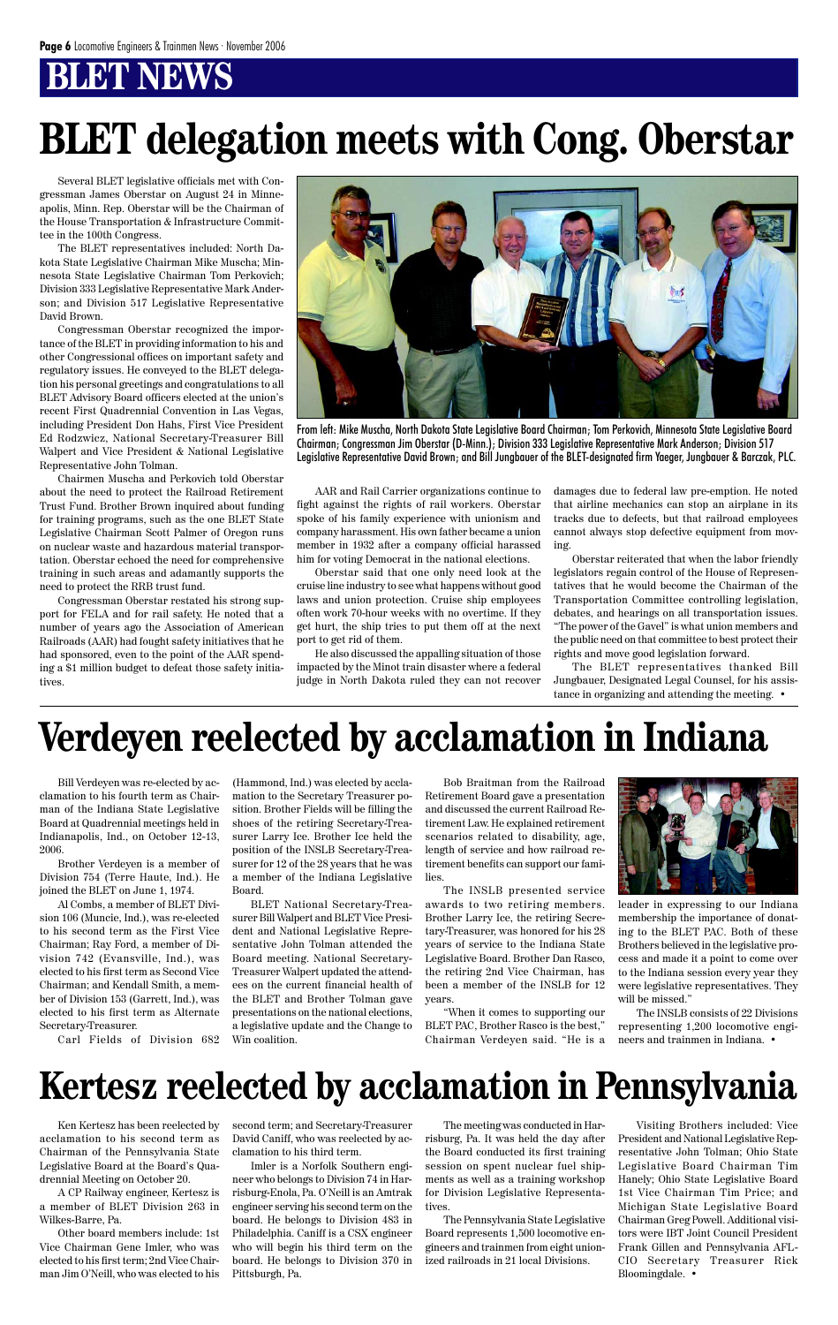## **BT NEWS**

# **Verdeyen reelected by acclamation in Indiana**

Several BLET legislative officials met with Congressman James Oberstar on August 24 in Minneapolis, Minn. Rep. Oberstar will be the Chairman of the House Transportation & Infrastructure Committee in the 100th Congress.

The BLET representatives included: North Dakota State Legislative Chairman Mike Muscha; Minnesota State Legislative Chairman Tom Perkovich; Division 333 Legislative Representative Mark Anderson; and Division 517 Legislative Representative David Brown.

Congressman Oberstar recognized the importance of the BLET in providing information to his and other Congressional offices on important safety and regulatory issues. He conveyed to the BLET delegation his personal greetings and congratulations to all BLET Advisory Board officers elected at the union's recent First Quadrennial Convention in Las Vegas, including President Don Hahs, First Vice President Ed Rodzwicz, National Secretary-Treasurer Bill Walpert and Vice President & National Legislative Representative John Tolman.

Chairmen Muscha and Perkovich told Oberstar about the need to protect the Railroad Retirement Trust Fund. Brother Brown inquired about funding for training programs, such as the one BLET State Legislative Chairman Scott Palmer of Oregon runs on nuclear waste and hazardous material transportation. Oberstar echoed the need for comprehensive training in such areas and adamantly supports the need to protect the RRB trust fund.

Congressman Oberstar restated his strong support for FELA and for rail safety. He noted that a number of years ago the Association of American Railroads (AAR) had fought safety initiatives that he had sponsored, even to the point of the AAR spending a \$1 million budget to defeat those safety initiatives.

AAR and Rail Carrier organizations continue to fight against the rights of rail workers. Oberstar spoke of his family experience with unionism and company harassment. His own father became a union member in 1932 after a company official harassed him for voting Democrat in the national elections.

Oberstar said that one only need look at the cruise line industry to see what happens without good laws and union protection. Cruise ship employees often work 70-hour weeks with no overtime. If they get hurt, the ship tries to put them off at the next port to get rid of them.

He also discussed the appalling situation of those impacted by the Minot train disaster where a federal judge in North Dakota ruled they can not recover damages due to federal law pre-emption. He noted that airline mechanics can stop an airplane in its tracks due to defects, but that railroad employees cannot always stop defective equipment from moving.

Oberstar reiterated that when the labor friendly legislators regain control of the House of Representatives that he would become the Chairman of the Transportation Committee controlling legislation, debates, and hearings on all transportation issues. "The power of the Gavel" is what union members and the public need on that committee to best protect their rights and move good legislation forward.

The BLET representatives thanked Bill Jungbauer, Designated Legal Counsel, for his assistance in organizing and attending the meeting. •



From left: Mike Muscha, North Dakota State Legislative Board Chairman; Tom Perkovich, Minnesota State Legislative Board Chairman; Congressman Jim Oberstar (D-Minn.); Division 333 Legislative Representative Mark Anderson; Division 517 Legislative Representative David Brown; and Bill Jungbauer of the BLET-designated firm Yaeger, Jungbauer & Barczak, PLC.

# **BLET delegation meets with Cong. Oberstar**

Bill Verdeyen was re-elected by acclamation to his fourth term as Chairman of the Indiana State Legislative Board at Quadrennial meetings held in Indianapolis, Ind., on October 12-13, 2006.

Brother Verdeyen is a member of Division 754 (Terre Haute, Ind.). He joined the BLET on June 1, 1974.

Al Combs, a member of BLET Division 106 (Muncie, Ind.), was re-elected to his second term as the First Vice Chairman; Ray Ford, a member of Division 742 (Evansville, Ind.), was elected to his first term as Second Vice Chairman; and Kendall Smith, a member of Division 153 (Garrett, Ind.), was elected to his first term as Alternate Secretary-Treasurer.

Carl Fields of Division 682

(Hammond, Ind.) was elected by acclamation to the Secretary Treasurer position. Brother Fields will be filling the shoes of the retiring Secretary-Treasurer Larry Ice. Brother Ice held the position of the INSLB Secretary-Treasurer for 12 of the 28 years that he was a member of the Indiana Legislative Board.

BLET National Secretary-Treasurer Bill Walpert and BLET Vice President and National Legislative Representative John Tolman attended the Board meeting. National Secretary-Treasurer Walpert updated the attendees on the current financial health of the BLET and Brother Tolman gave presentations on the national elections, a legislative update and the Change to Win coalition.

Bob Braitman from the Railroad Retirement Board gave a presentation and discussed the current Railroad Retirement Law. He explained retirement scenarios related to disability, age, length of service and how railroad retirement benefits can support our families.

The INSLB presented service awards to two retiring members. Brother Larry Ice, the retiring Secretary-Treasurer, was honored for his 28 years of service to the Indiana State Legislative Board. Brother Dan Rasco, the retiring 2nd Vice Chairman, has been a member of the INSLB for 12 years.

"When it comes to supporting our BLET PAC, Brother Rasco is the best," Chairman Verdeyen said. "He is a



leader in expressing to our Indiana membership the importance of donating to the BLET PAC. Both of these Brothers believed in the legislative process and made it a point to come over to the Indiana session every year they

were legislative representatives. They will be missed."

The INSLB consists of 22 Divisions representing 1,200 locomotive engineers and trainmen in Indiana. •

Ken Kertesz has been reelected by acclamation to his second term as Chairman of the Pennsylvania State Legislative Board at the Board's Quadrennial Meeting on October 20.

A CP Railway engineer, Kertesz is a member of BLET Division 263 in Wilkes-Barre, Pa.

Other board members include: 1st Vice Chairman Gene Imler, who was elected to his first term; 2nd Vice Chairman Jim O'Neill, who was elected to his second term; and Secretary-Treasurer David Caniff, who was reelected by acclamation to his third term.

Imler is a Norfolk Southern engineer who belongs to Division 74 in Harrisburg-Enola, Pa. O'Neill is an Amtrak engineer serving his second term on the board. He belongs to Division 483 in Philadelphia. Caniff is a CSX engineer who will begin his third term on the board. He belongs to Division 370 in Pittsburgh, Pa.

The meeting was conducted in Harrisburg, Pa. It was held the day after the Board conducted its first training session on spent nuclear fuel shipments as well as a training workshop for Division Legislative Representatives.

The Pennsylvania State Legislative Board represents 1,500 locomotive engineers and trainmen from eight unionized railroads in 21 local Divisions.

Visiting Brothers included: Vice President and National Legislative Representative John Tolman; Ohio State Legislative Board Chairman Tim Hanely; Ohio State Legislative Board 1st Vice Chairman Tim Price; and Michigan State Legislative Board Chairman Greg Powell. Additional visitors were IBT Joint Council President Frank Gillen and Pennsylvania AFL-CIO Secretary Treasurer Rick Bloomingdale. •

# **Kertesz reelected by acclamation in Pennsylvania**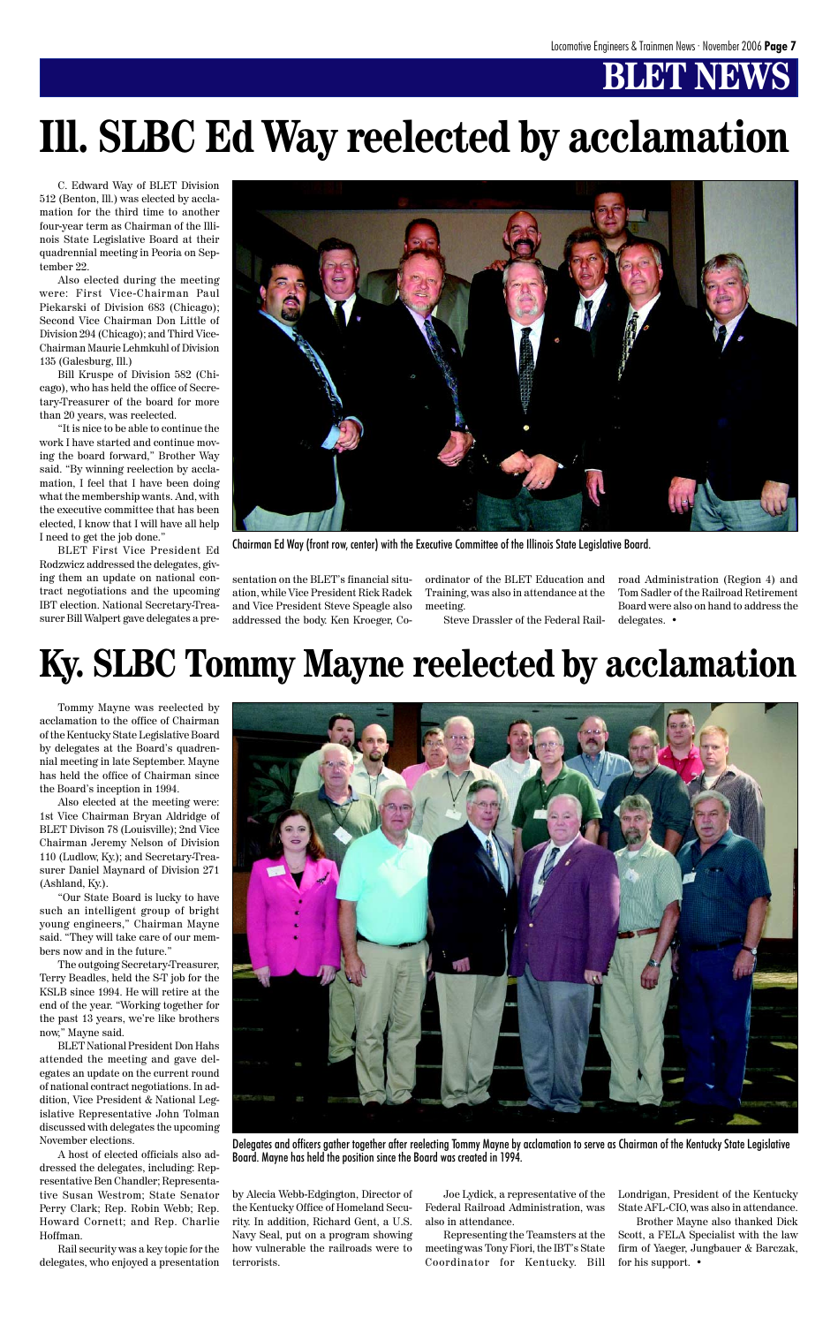# **BLET NEW**

Tommy Mayne was reelected by acclamation to the office of Chairman of the Kentucky State Legislative Board by delegates at the Board's quadrennial meeting in late September. Mayne has held the office of Chairman since the Board's inception in 1994.

Also elected at the meeting were: 1st Vice Chairman Bryan Aldridge of BLET Divison 78 (Louisville); 2nd Vice Chairman Jeremy Nelson of Division 110 (Ludlow, Ky.); and Secretary-Treasurer Daniel Maynard of Division 271 (Ashland, Ky.).

"Our State Board is lucky to have such an intelligent group of bright young engineers," Chairman Mayne said. "They will take care of our members now and in the future."

The outgoing Secretary-Treasurer,



Terry Beadles, held the S-T job for the KSLB since 1994. He will retire at the end of the year. "Working together for the past 13 years, we're like brothers now," Mayne said.

BLET National President Don Hahs attended the meeting and gave delegates an update on the current round of national contract negotiations. In addition, Vice President & National Legislative Representative John Tolman discussed with delegates the upcoming November elections.

A host of elected officials also addressed the delegates, including: Representative Ben Chandler; Representative Susan Westrom; State Senator Perry Clark; Rep. Robin Webb; Rep. Howard Cornett; and Rep. Charlie Hoffman.

Rail security was a key topic for the delegates, who enjoyed a presentation by Alecia Webb-Edgington, Director of the Kentucky Office of Homeland Security. In addition, Richard Gent, a U.S. Navy Seal, put on a program showing how vulnerable the railroads were to terrorists.

Joe Lydick, a representative of the Federal Railroad Administration, was also in attendance.

Representing the Teamsters at the meeting was Tony Fiori, the IBT's State Coordinator for Kentucky. Bill

Londrigan, President of the Kentucky State AFL-CIO, was also in attendance. Brother Mayne also thanked Dick Scott, a FELA Specialist with the law firm of Yaeger, Jungbauer & Barczak, for his support. •

Delegates and officers gather together after reelecting Tommy Mayne by acclamation to serve as Chairman of the Kentucky State Legislative Board. Mayne has held the position since the Board was created in 1994.

# **Ky. SLBC Tommy Mayne reelected by acclamation**

sentation on the BLET's financial situation, while Vice President Rick Radek and Vice President Steve Speagle also addressed the body. Ken Kroeger, Coordinator of the BLET Education and Training, was also in attendance at the meeting.

Steve Drassler of the Federal Rail-

C. Edward Way of BLET Division 512 (Benton, Ill.) was elected by acclamation for the third time to another four-year term as Chairman of the Illinois State Legislative Board at their quadrennial meeting in Peoria on September 22.

Also elected during the meeting were: First Vice-Chairman Paul Piekarski of Division 683 (Chicago); Second Vice Chairman Don Little of Division 294 (Chicago); and Third Vice-Chairman Maurie Lehmkuhl of Division 135 (Galesburg, Ill.)

Bill Kruspe of Division 582 (Chicago), who has held the office of Secretary-Treasurer of the board for more than 20 years, was reelected.

"It is nice to be able to continue the work I have started and continue moving the board forward," Brother Way said. "By winning reelection by acclamation, I feel that I have been doing what the membership wants. And, with the executive committee that has been elected, I know that I will have all help I need to get the job done."

BLET First Vice President Ed Rodzwicz addressed the delegates, giving them an update on national contract negotiations and the upcoming IBT election. National Secretary-Treasurer Bill Walpert gave delegates a pre-

road Administration (Region 4) and Tom Sadler of the Railroad Retirement Board were also on hand to address the delegates. •

# **Ill. SLBC Ed Way reelected by acclamation**



Chairman Ed Way (front row, center) with the Executive Committee of the Illinois State Legislative Board.